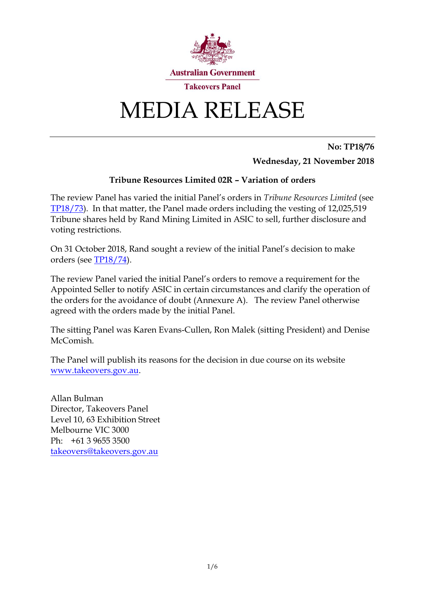

# MEDIA RELEASE

**No: TP18/76 Wednesday, 21 November 2018**

## **Tribune Resources Limited 02R – Variation of orders**

The review Panel has varied the initial Panel's orders in *Tribune Resources Limited* (see [TP18/73\)](http://www.takeovers.gov.au/content/DisplayDoc.aspx?doc=media_releases/2018/073.htm&pageID=&Year=). In that matter, the Panel made orders including the vesting of 12,025,519 Tribune shares held by Rand Mining Limited in ASIC to sell, further disclosure and voting restrictions.

On 31 October 2018, Rand sought a review of the initial Panel's decision to make orders (see [TP18/74\)](http://www.takeovers.gov.au/content/DisplayDoc.aspx?doc=media_releases/2018/074.htm&pageID=&Year=).

The review Panel varied the initial Panel's orders to remove a requirement for the Appointed Seller to notify ASIC in certain circumstances and clarify the operation of the orders for the avoidance of doubt (Annexure A). The review Panel otherwise agreed with the orders made by the initial Panel.

The sitting Panel was Karen Evans-Cullen, Ron Malek (sitting President) and Denise McComish

The Panel will publish its reasons for the decision in due course on its website [www.takeovers.gov.au.](http://www.takeovers.gov.au/)

Allan Bulman Director, Takeovers Panel Level 10, 63 Exhibition Street Melbourne VIC 3000 Ph: +61 3 9655 3500 [takeovers@takeovers.gov.au](mailto:takeovers@takeovers.gov.au)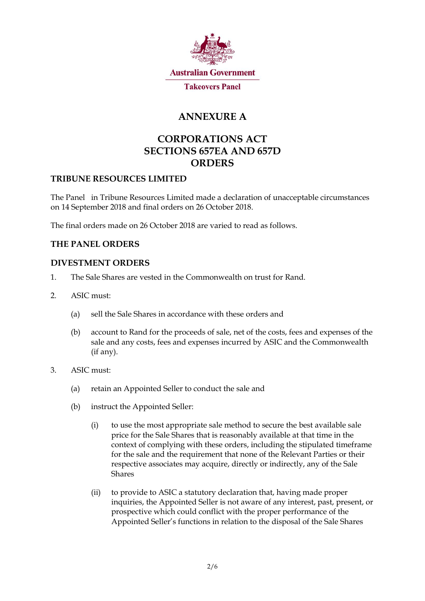

## **ANNEXURE A**

## **CORPORATIONS ACT SECTIONS 657EA AND 657D ORDERS**

### **TRIBUNE RESOURCES LIMITED**

The Panel in Tribune Resources Limited made a declaration of unacceptable circumstances on 14 September 2018 and final orders on 26 October 2018.

The final orders made on 26 October 2018 are varied to read as follows.

### **THE PANEL ORDERS**

#### **DIVESTMENT ORDERS**

- <span id="page-1-2"></span>1. The Sale Shares are vested in the Commonwealth on trust for Rand.
- <span id="page-1-1"></span><span id="page-1-0"></span>2. ASIC must:
	- (a) sell the Sale Shares in accordance with these orders and
	- (b) account to Rand for the proceeds of sale, net of the costs, fees and expenses of the sale and any costs, fees and expenses incurred by ASIC and the Commonwealth (if any).
- 3. ASIC must:
	- (a) retain an Appointed Seller to conduct the sale and
	- (b) instruct the Appointed Seller:
		- (i) to use the most appropriate sale method to secure the best available sale price for the Sale Shares that is reasonably available at that time in the context of complying with these orders, including the stipulated timeframe for the sale and the requirement that none of the Relevant Parties or their respective associates may acquire, directly or indirectly, any of the Sale Shares
		- (ii) to provide to ASIC a statutory declaration that, having made proper inquiries, the Appointed Seller is not aware of any interest, past, present, or prospective which could conflict with the proper performance of the Appointed Seller's functions in relation to the disposal of the Sale Shares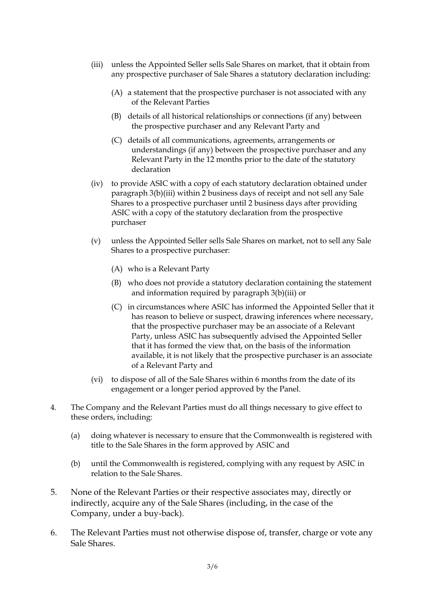- (iii) unless the Appointed Seller sells Sale Shares on market, that it obtain from any prospective purchaser of Sale Shares a statutory declaration including:
	- (A) a statement that the prospective purchaser is not associated with any of the Relevant Parties
	- (B) details of all historical relationships or connections (if any) between the prospective purchaser and any Relevant Party and
	- (C) details of all communications, agreements, arrangements or understandings (if any) between the prospective purchaser and any Relevant Party in the 12 months prior to the date of the statutory declaration
- (iv) to provide ASIC with a copy of each statutory declaration obtained under paragraph 3(b)(iii) within 2 business days of receipt and not sell any Sale Shares to a prospective purchaser until 2 business days after providing ASIC with a copy of the statutory declaration from the prospective purchaser
- (v) unless the Appointed Seller sells Sale Shares on market, not to sell any Sale Shares to a prospective purchaser:
	- (A) who is a Relevant Party
	- (B) who does not provide a statutory declaration containing the statement and information required by paragraph 3(b)(iii) or
	- (C) in circumstances where ASIC has informed the Appointed Seller that it has reason to believe or suspect, drawing inferences where necessary, that the prospective purchaser may be an associate of a Relevant Party, unless ASIC has subsequently advised the Appointed Seller that it has formed the view that, on the basis of the information available, it is not likely that the prospective purchaser is an associate of a Relevant Party and
- (vi) to dispose of all of the Sale Shares within 6 months from the date of its engagement or a longer period approved by the Panel.
- 4. The Company and the Relevant Parties must do all things necessary to give effect to these orders, including:
	- (a) doing whatever is necessary to ensure that the Commonwealth is registered with title to the Sale Shares in the form approved by ASIC and
	- (b) until the Commonwealth is registered, complying with any request by ASIC in relation to the Sale Shares.
- <span id="page-2-0"></span>5. None of the Relevant Parties or their respective associates may, directly or indirectly, acquire any of the Sale Shares (including, in the case of the Company, under a buy-back).
- <span id="page-2-1"></span>6. The Relevant Parties must not otherwise dispose of, transfer, charge or vote any Sale Shares.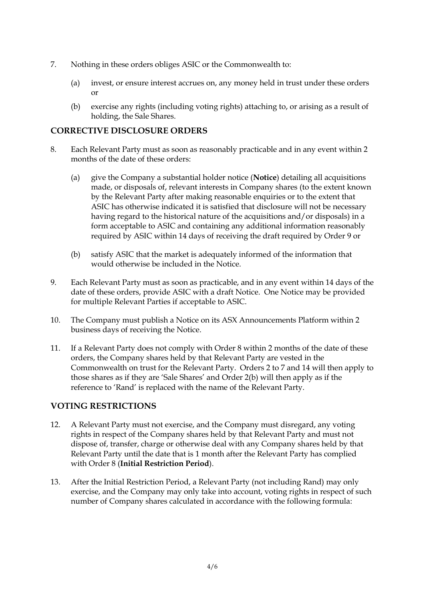- <span id="page-3-2"></span>7. Nothing in these orders obliges ASIC or the Commonwealth to:
	- (a) invest, or ensure interest accrues on, any money held in trust under these orders or
	- (b) exercise any rights (including voting rights) attaching to, or arising as a result of holding, the Sale Shares.

#### **CORRECTIVE DISCLOSURE ORDERS**

- <span id="page-3-5"></span><span id="page-3-1"></span>8. Each Relevant Party must as soon as reasonably practicable and in any event within 2 months of the date of these orders:
	- (a) give the Company a substantial holder notice (**Notice**) detailing all acquisitions made, or disposals of, relevant interests in Company shares (to the extent known by the Relevant Party after making reasonable enquiries or to the extent that ASIC has otherwise indicated it is satisfied that disclosure will not be necessary having regard to the historical nature of the acquisitions and/or disposals) in a form acceptable to ASIC and containing any additional information reasonably required by ASIC within 14 days of receiving the draft required by Order [9](#page-3-0) or
	- (b) satisfy ASIC that the market is adequately informed of the information that would otherwise be included in the Notice.
- <span id="page-3-0"></span>9. Each Relevant Party must as soon as practicable, and in any event within 14 days of the date of these orders, provide ASIC with a draft Notice. One Notice may be provided for multiple Relevant Parties if acceptable to ASIC.
- 10. The Company must publish a Notice on its ASX Announcements Platform within 2 business days of receiving the Notice.
- <span id="page-3-4"></span>11. If a Relevant Party does not comply with Orde[r 8](#page-3-1) within 2 months of the date of these orders, the Company shares held by that Relevant Party are vested in the Commonwealth on trust for the Relevant Party. Orders [2](#page-1-0) to [7](#page-3-2) and [14](#page-4-0) will then apply to those shares as if they are 'Sale Shares' and Order [2\(b\)](#page-1-1) will then apply as if the reference to 'Rand' is replaced with the name of the Relevant Party.

#### **VOTING RESTRICTIONS**

- 12. A Relevant Party must not exercise, and the Company must disregard, any voting rights in respect of the Company shares held by that Relevant Party and must not dispose of, transfer, charge or otherwise deal with any Company shares held by that Relevant Party until the date that is 1 month after the Relevant Party has complied with Order [8](#page-3-1) (**Initial Restriction Period**).
- <span id="page-3-3"></span>13. After the Initial Restriction Period, a Relevant Party (not including Rand) may only exercise, and the Company may only take into account, voting rights in respect of such number of Company shares calculated in accordance with the following formula: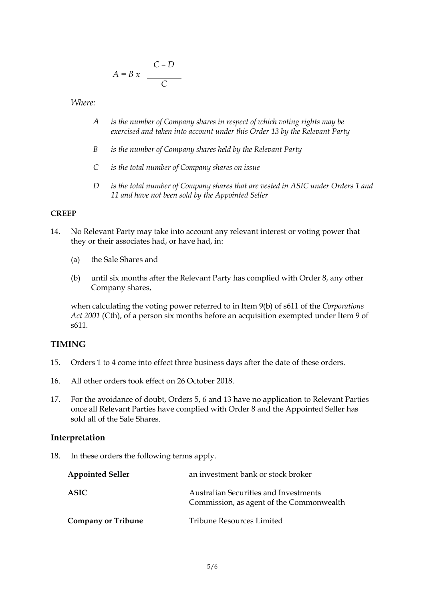$$
A = B x \quad \frac{C - D}{C}
$$

*Where:*

- *A is the number of Company shares in respect of which voting rights may be exercised and taken into account under this Order [13](#page-3-3) by the Relevant Party*
- *B is the number of Company shares held by the Relevant Party*
- *C is the total number of Company shares on issue*
- *D is the total number of Company shares that are vested in ASIC under Orders [1](#page-1-2) and [11](#page-3-4) and have not been sold by the Appointed Seller*

#### **CREEP**

- <span id="page-4-0"></span>14. No Relevant Party may take into account any relevant interest or voting power that they or their associates had, or have had, in:
	- (a) the Sale Shares and
	- (b) until six months after the Relevant Party has complied with Order [8,](#page-3-1) any other Company shares,

when calculating the voting power referred to in Item 9(b) of s611 of the *Corporations Act 2001* (Cth), of a person six months before an acquisition exempted under Item 9 of s611.

#### **TIMING**

- 15. Orders [1](#page-1-2) to 4 come into effect three business days after the date of these orders.
- 16. All other orders took effect on 26 October 2018.
- 17. For the avoidance of doubt, Orders [5,](#page-2-0) [6](#page-2-1) and [13](#page-3-3) have no application to Relevant Parties once all Relevant Parties have complied with Order [8](#page-3-1) and the Appointed Seller has sold all of the Sale Shares.

#### **Interpretation**

18. In these orders the following terms apply.

| <b>Appointed Seller</b>   | an investment bank or stock broker                                                |
|---------------------------|-----------------------------------------------------------------------------------|
| <b>ASIC</b>               | Australian Securities and Investments<br>Commission, as agent of the Commonwealth |
| <b>Company or Tribune</b> | Tribune Resources Limited                                                         |